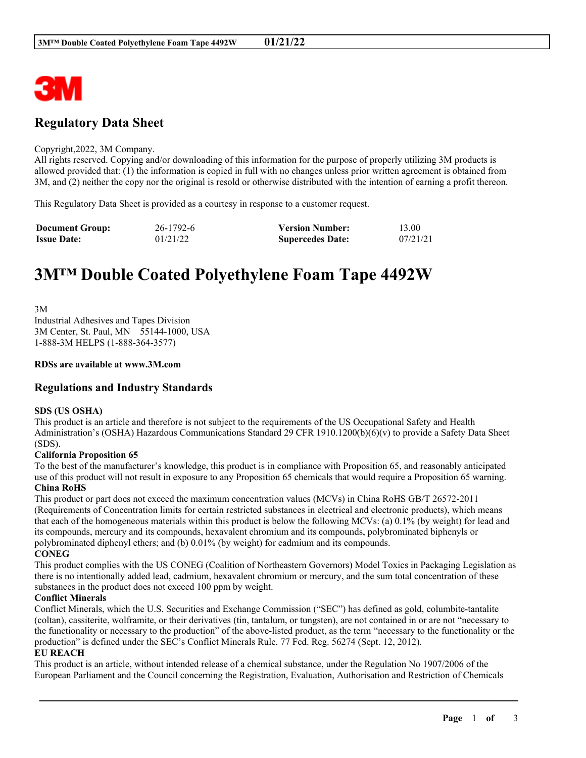

# **Regulatory Data Sheet**

#### Copyright,2022, 3M Company.

All rights reserved. Copying and/or downloading of this information for the purpose of properly utilizing 3M products is allowed provided that: (1) the information is copied in full with no changes unless prior written agreement is obtained from 3M, and (2) neither the copy nor the original is resold or otherwise distributed with the intention of earning a profit thereon.

This Regulatory Data Sheet is provided as a courtesy in response to a customer request.

| <b>Document Group:</b> | 26-1792-6 | <b>Version Number:</b>  | 13.00    |
|------------------------|-----------|-------------------------|----------|
| <b>Issue Date:</b>     | 01/21/22  | <b>Supercedes Date:</b> | 07/21/21 |

# **3M™ Double Coated Polyethylene Foam Tape 4492W**

3M Industrial Adhesives and Tapes Division 3M Center, St. Paul, MN 55144-1000, USA 1-888-3M HELPS (1-888-364-3577)

#### **RDSs are available at www.3M.com**

# **Regulations and Industry Standards**

#### **SDS (US OSHA)**

This product is an article and therefore is not subject to the requirements of the US Occupational Safety and Health Administration's (OSHA) Hazardous Communications Standard 29 CFR 1910.1200(b)(6)(v) to provide a Safety Data Sheet (SDS).

#### **California Proposition 65**

To the best of the manufacturer's knowledge, this product is in compliance with Proposition 65, and reasonably anticipated use of this product will not result in exposure to any Proposition 65 chemicals that would require a Proposition 65 warning. **China RoHS**

This product or part does not exceed the maximum concentration values (MCVs) in China RoHS GB/T 26572-2011 (Requirements of Concentration limits for certain restricted substances in electrical and electronic products), which means that each of the homogeneous materials within this product is below the following MCVs: (a) 0.1% (by weight) for lead and its compounds, mercury and its compounds, hexavalent chromium and its compounds, polybrominated biphenyls or polybrominated diphenyl ethers; and (b) 0.01% (by weight) for cadmium and its compounds. **CONEG**

This product complies with the US CONEG (Coalition of Northeastern Governors) Model Toxics in Packaging Legislation as there is no intentionally added lead, cadmium, hexavalent chromium or mercury, and the sum total concentration of these substances in the product does not exceed 100 ppm by weight.

#### **Conflict Minerals**

Conflict Minerals, which the U.S. Securities and Exchange Commission ("SEC") has defined as gold, columbite-tantalite (coltan), cassiterite, wolframite, or their derivatives (tin, tantalum, or tungsten), are not contained in or are not "necessary to the functionality or necessary to the production" of the above-listed product, as the term "necessary to the functionality or the production" is defined under the SEC's Conflict Minerals Rule. 77 Fed. Reg. 56274 (Sept. 12, 2012).

#### **EU REACH**

This product is an article, without intended release of a chemical substance, under the Regulation No 1907/2006 of the European Parliament and the Council concerning the Registration, Evaluation, Authorisation and Restriction of Chemicals

\_\_\_\_\_\_\_\_\_\_\_\_\_\_\_\_\_\_\_\_\_\_\_\_\_\_\_\_\_\_\_\_\_\_\_\_\_\_\_\_\_\_\_\_\_\_\_\_\_\_\_\_\_\_\_\_\_\_\_\_\_\_\_\_\_\_\_\_\_\_\_\_\_\_\_\_\_\_\_\_\_\_\_\_\_\_\_\_\_\_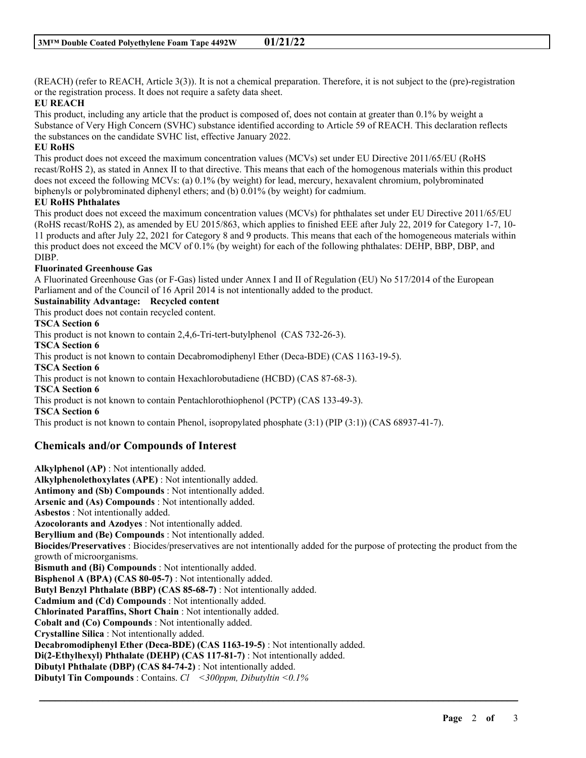(REACH) (refer to REACH, Article 3(3)). It is not a chemical preparation. Therefore, it is not subject to the (pre)-registration or the registration process. It does not require a safety data sheet.

### **EU REACH**

This product, including any article that the product is composed of, does not contain at greater than 0.1% by weight a Substance of Very High Concern (SVHC) substance identified according to Article 59 of REACH. This declaration reflects the substances on the candidate SVHC list, effective January 2022.

#### **EU RoHS**

This product does not exceed the maximum concentration values (MCVs) set under EU Directive 2011/65/EU (RoHS recast/RoHS 2), as stated in Annex II to that directive. This means that each of the homogenous materials within this product does not exceed the following MCVs: (a) 0.1% (by weight) for lead, mercury, hexavalent chromium, polybrominated biphenyls or polybrominated diphenyl ethers; and (b) 0.01% (by weight) for cadmium.

#### **EU RoHS Phthalates**

This product does not exceed the maximum concentration values (MCVs) for phthalates set under EU Directive 2011/65/EU (RoHS recast/RoHS 2), as amended by EU 2015/863, which applies to finished EEE after July 22, 2019 for Category 1-7, 10- 11 products and after July 22, 2021 for Category 8 and 9 products. This means that each of the homogeneous materials within this product does not exceed the MCV of 0.1% (by weight) for each of the following phthalates: DEHP, BBP, DBP, and DIBP.

#### **Fluorinated Greenhouse Gas**

A Fluorinated Greenhouse Gas (or F-Gas) listed under Annex I and II of Regulation (EU) No 517/2014 of the European Parliament and of the Council of 16 April 2014 is not intentionally added to the product.

## **Sustainability Advantage: Recycled content**

This product does not contain recycled content.

#### **TSCA Section 6**

This product is not known to contain 2,4,6-Tri-tert-butylphenol (CAS 732-26-3).

**TSCA Section 6**

This product is not known to contain Decabromodiphenyl Ether (Deca-BDE) (CAS 1163-19-5).

**TSCA Section 6**

This product is not known to contain Hexachlorobutadiene (HCBD) (CAS 87-68-3).

**TSCA Section 6**

This product is not known to contain Pentachlorothiophenol (PCTP) (CAS 133-49-3).

**TSCA Section 6**

This product is not known to contain Phenol, isopropylated phosphate (3:1) (PIP (3:1)) (CAS 68937-41-7).

# **Chemicals and/or Compounds of Interest**

**Alkylphenol (AP)** : Not intentionally added. **Alkylphenolethoxylates (APE)** : Not intentionally added. **Antimony and (Sb) Compounds** : Not intentionally added. **Arsenic and (As) Compounds** : Not intentionally added. **Asbestos** : Not intentionally added. **Azocolorants and Azodyes** : Not intentionally added. **Beryllium and (Be) Compounds** : Not intentionally added. **Biocides/Preservatives** : Biocides/preservatives are not intentionally added for the purpose of protecting the product from the growth of microorganisms. **Bismuth and (Bi) Compounds** : Not intentionally added. **Bisphenol A (BPA) (CAS 80-05-7)** : Not intentionally added. **Butyl Benzyl Phthalate (BBP) (CAS 85-68-7)** : Not intentionally added. **Cadmium and (Cd) Compounds** : Not intentionally added. **Chlorinated Paraffins, Short Chain** : Not intentionally added. **Cobalt and (Co) Compounds** : Not intentionally added. **Crystalline Silica** : Not intentionally added. **Decabromodiphenyl Ether (Deca-BDE) (CAS 1163-19-5)** : Not intentionally added. **Di(2-Ethylhexyl) Phthalate (DEHP) (CAS 117-81-7)** : Not intentionally added. **Dibutyl Phthalate (DBP) (CAS 84-74-2)** : Not intentionally added. **Dibutyl Tin Compounds** : Contains. *Cl <300ppm, Dibutyltin <0.1%*

\_\_\_\_\_\_\_\_\_\_\_\_\_\_\_\_\_\_\_\_\_\_\_\_\_\_\_\_\_\_\_\_\_\_\_\_\_\_\_\_\_\_\_\_\_\_\_\_\_\_\_\_\_\_\_\_\_\_\_\_\_\_\_\_\_\_\_\_\_\_\_\_\_\_\_\_\_\_\_\_\_\_\_\_\_\_\_\_\_\_